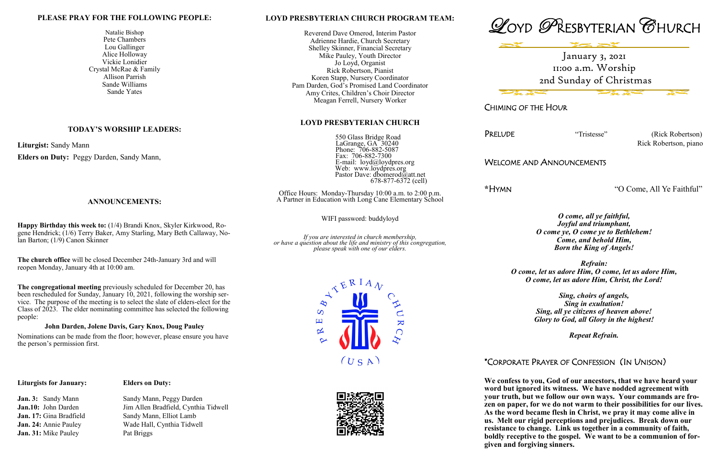## **LOYD PRESBYTERIAN CHURCH PROGRAM TEAM:**

Reverend Dave Omerod, Interim Pastor Adrienne Hardie, Church Secretary Shelley Skinner, Financial Secretary Mike Pauley, Youth Director Jo Loyd, Organist Rick Robertson, Pianist Koren Stapp, Nursery Coordinator Pam Darden, God's Promised Land Coordinator Amy Crites, Children's Choir Director Meagan Ferrell, Nursery Worker

## **LOYD PRESBYTERIAN CHURCH**

 550 Glass Bridge Road LaGrange, GA 30240 Phone: 706-882-5087 Fax: 706-882-7300 E-mail: loyd@loydpres.org Web: www.loydpres.org Pastor Dave: dbomerod@att.net 678-877-6372 (cell)

Office Hours: Monday-Thursday 10:00 a.m. to 2:00 p.m. A Partner in Education with Long Cane Elementary School

WIFI password: buddyloyd

*If you are interested in church membership, or have a question about the life and ministry of this congregation, please speak with one of our elders.*









Be of

CHIMING OF THE HOUR

PRELUDE "Tristesse" (Rick Robertson) Rick Robertson, piano

## WELCOME AND ANNOUNCEMENTS

**\***HYMN "O Come, All Ye Faithful"

*O come, all ye faithful, Joyful and triumphant, O come ye, O come ye to Bethlehem! Come, and behold Him, Born the King of Angels!*

*Refrain: O come, let us adore Him, O come, let us adore Him, O come, let us adore Him, Christ, the Lord!*

> *Sing, choirs of angels, Sing in exultation! Sing, all ye citizens of heaven above! Glory to God, all Glory in the highest!*

> > *Repeat Refrain.*

## \*CORPORATE PRAYER OF CONFESSION (IN UNISON)

**We confess to you, God of our ancestors, that we have heard your word but ignored its witness. We have nodded agreement with your truth, but we follow our own ways. Your commands are frozen on paper, for we do not warm to their possibilities for our lives. As the word became flesh in Christ, we pray it may come alive in us. Melt our rigid perceptions and prejudices. Break down our resistance to change. Link us together in a community of faith, boldly receptive to the gospel. We want to be a communion of forgiven and forgiving sinners.**

## **PLEASE PRAY FOR THE FOLLOWING PEOPLE:**

Natalie Bishop Pete Chambers Lou Gallinger Alice Holloway Vickie Lonidier Crystal McRae & Family Allison Parrish Sande Williams Sande Yates

## **TODAY'S WORSHIP LEADERS:**

**Liturgist:** Sandy Mann **Elders on Duty:** Peggy Darden, Sandy Mann,

## **ANNOUNCEMENTS:**

**Happy Birthday this week to:** (1/4) Brandi Knox, Skyler Kirkwood, Rogene Hendrick; (1/6) Terry Baker, Amy Starling, Mary Beth Callaway, Nolan Barton; (1/9) Canon Skinner

**The church office** will be closed December 24th-January 3rd and will reopen Monday, January 4th at 10:00 am.

**The congregational meeting** previously scheduled for December 20, has been rescheduled for Sunday, January 10, 2021, following the worship service. The purpose of the meeting is to select the slate of elders-elect for the Class of 2023. The elder nominating committee has selected the following people:

### **John Darden, Jolene Davis, Gary Knox, Doug Pauley**

Nominations can be made from the floor; however, please ensure you have the person's permission first.

## **Liturgists for January: Elders on Duty:**

**Jan. 3:** Sandy Mann Sandy Mann, Peggy Darden **Jan. 31:** Mike Pauley Pat Briggs

**Jan.10:** John Darden Jim Allen Bradfield, Cynthia Tidwell **Jan. 17:** Gina Bradfield Sandy Mann, Elliot Lamb Jan. 24: Annie Pauley Wade Hall, Cynthia Tidwell

January 3, 2021 11:00 a.m. Worship 2nd Sunday of Christmas